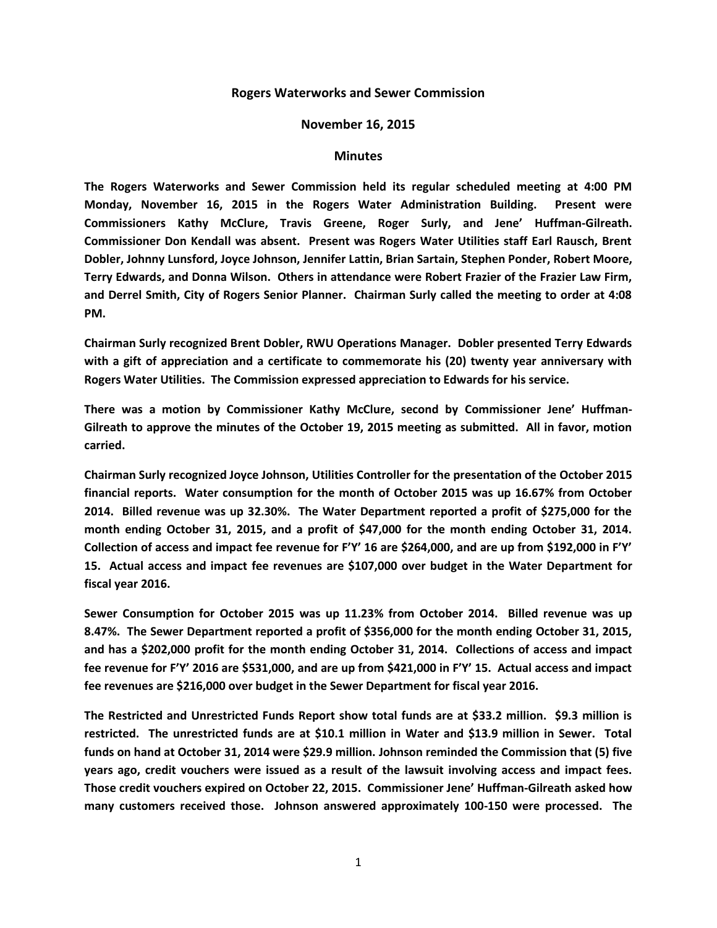## **Rogers Waterworks and Sewer Commission**

## **November 16, 2015**

## **Minutes**

**The Rogers Waterworks and Sewer Commission held its regular scheduled meeting at 4:00 PM Monday, November 16, 2015 in the Rogers Water Administration Building. Present were Commissioners Kathy McClure, Travis Greene, Roger Surly, and Jene' Huffman-Gilreath. Commissioner Don Kendall was absent. Present was Rogers Water Utilities staff Earl Rausch, Brent Dobler, Johnny Lunsford, Joyce Johnson, Jennifer Lattin, Brian Sartain, Stephen Ponder, Robert Moore, Terry Edwards, and Donna Wilson. Others in attendance were Robert Frazier of the Frazier Law Firm, and Derrel Smith, City of Rogers Senior Planner. Chairman Surly called the meeting to order at 4:08 PM.**

**Chairman Surly recognized Brent Dobler, RWU Operations Manager. Dobler presented Terry Edwards with a gift of appreciation and a certificate to commemorate his (20) twenty year anniversary with Rogers Water Utilities. The Commission expressed appreciation to Edwards for his service.**

**There was a motion by Commissioner Kathy McClure, second by Commissioner Jene' Huffman-Gilreath to approve the minutes of the October 19, 2015 meeting as submitted. All in favor, motion carried.**

**Chairman Surly recognized Joyce Johnson, Utilities Controller for the presentation of the October 2015 financial reports. Water consumption for the month of October 2015 was up 16.67% from October 2014. Billed revenue was up 32.30%. The Water Department reported a profit of \$275,000 for the month ending October 31, 2015, and a profit of \$47,000 for the month ending October 31, 2014. Collection of access and impact fee revenue for F'Y' 16 are \$264,000, and are up from \$192,000 in F'Y' 15. Actual access and impact fee revenues are \$107,000 over budget in the Water Department for fiscal year 2016.**

**Sewer Consumption for October 2015 was up 11.23% from October 2014. Billed revenue was up 8.47%. The Sewer Department reported a profit of \$356,000 for the month ending October 31, 2015, and has a \$202,000 profit for the month ending October 31, 2014. Collections of access and impact fee revenue for F'Y' 2016 are \$531,000, and are up from \$421,000 in F'Y' 15. Actual access and impact fee revenues are \$216,000 over budget in the Sewer Department for fiscal year 2016.**

**The Restricted and Unrestricted Funds Report show total funds are at \$33.2 million. \$9.3 million is restricted. The unrestricted funds are at \$10.1 million in Water and \$13.9 million in Sewer. Total funds on hand at October 31, 2014 were \$29.9 million. Johnson reminded the Commission that (5) five years ago, credit vouchers were issued as a result of the lawsuit involving access and impact fees. Those credit vouchers expired on October 22, 2015. Commissioner Jene' Huffman-Gilreath asked how many customers received those. Johnson answered approximately 100-150 were processed. The**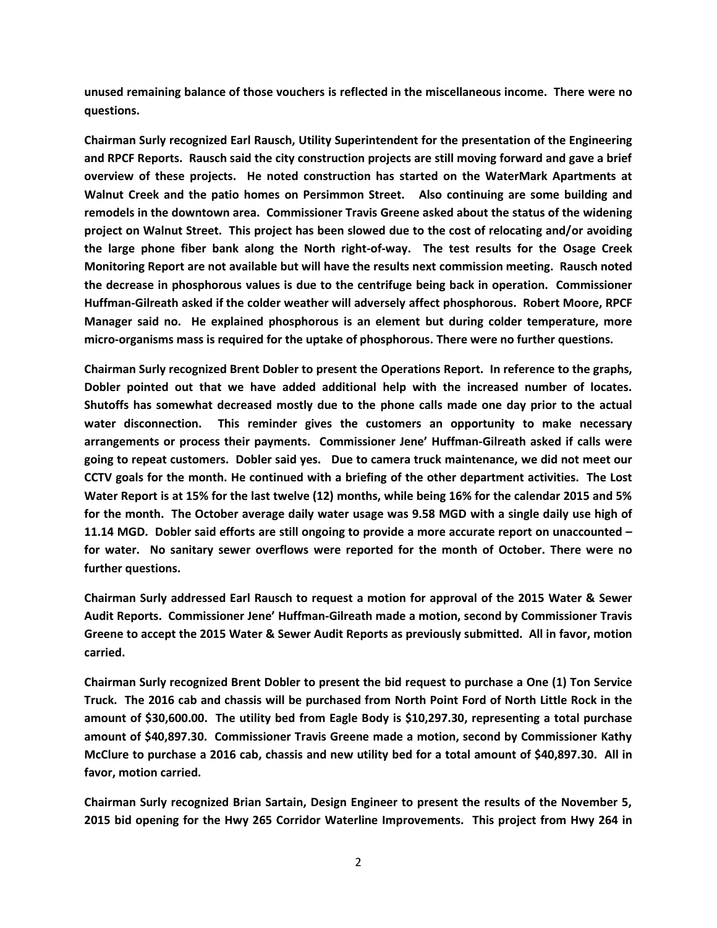**unused remaining balance of those vouchers is reflected in the miscellaneous income. There were no questions.**

**Chairman Surly recognized Earl Rausch, Utility Superintendent for the presentation of the Engineering and RPCF Reports. Rausch said the city construction projects are still moving forward and gave a brief overview of these projects. He noted construction has started on the WaterMark Apartments at Walnut Creek and the patio homes on Persimmon Street. Also continuing are some building and remodels in the downtown area. Commissioner Travis Greene asked about the status of the widening project on Walnut Street. This project has been slowed due to the cost of relocating and/or avoiding the large phone fiber bank along the North right-of-way. The test results for the Osage Creek Monitoring Report are not available but will have the results next commission meeting. Rausch noted the decrease in phosphorous values is due to the centrifuge being back in operation. Commissioner Huffman-Gilreath asked if the colder weather will adversely affect phosphorous. Robert Moore, RPCF Manager said no. He explained phosphorous is an element but during colder temperature, more micro-organisms mass is required for the uptake of phosphorous. There were no further questions.**

**Chairman Surly recognized Brent Dobler to present the Operations Report. In reference to the graphs, Dobler pointed out that we have added additional help with the increased number of locates. Shutoffs has somewhat decreased mostly due to the phone calls made one day prior to the actual water disconnection. This reminder gives the customers an opportunity to make necessary arrangements or process their payments. Commissioner Jene' Huffman-Gilreath asked if calls were going to repeat customers. Dobler said yes. Due to camera truck maintenance, we did not meet our CCTV goals for the month. He continued with a briefing of the other department activities. The Lost Water Report is at 15% for the last twelve (12) months, while being 16% for the calendar 2015 and 5% for the month. The October average daily water usage was 9.58 MGD with a single daily use high of 11.14 MGD. Dobler said efforts are still ongoing to provide a more accurate report on unaccounted – for water. No sanitary sewer overflows were reported for the month of October. There were no further questions.**

**Chairman Surly addressed Earl Rausch to request a motion for approval of the 2015 Water & Sewer Audit Reports. Commissioner Jene' Huffman-Gilreath made a motion, second by Commissioner Travis Greene to accept the 2015 Water & Sewer Audit Reports as previously submitted. All in favor, motion carried.**

**Chairman Surly recognized Brent Dobler to present the bid request to purchase a One (1) Ton Service Truck. The 2016 cab and chassis will be purchased from North Point Ford of North Little Rock in the amount of \$30,600.00. The utility bed from Eagle Body is \$10,297.30, representing a total purchase amount of \$40,897.30. Commissioner Travis Greene made a motion, second by Commissioner Kathy McClure to purchase a 2016 cab, chassis and new utility bed for a total amount of \$40,897.30. All in favor, motion carried.**

**Chairman Surly recognized Brian Sartain, Design Engineer to present the results of the November 5, 2015 bid opening for the Hwy 265 Corridor Waterline Improvements. This project from Hwy 264 in**